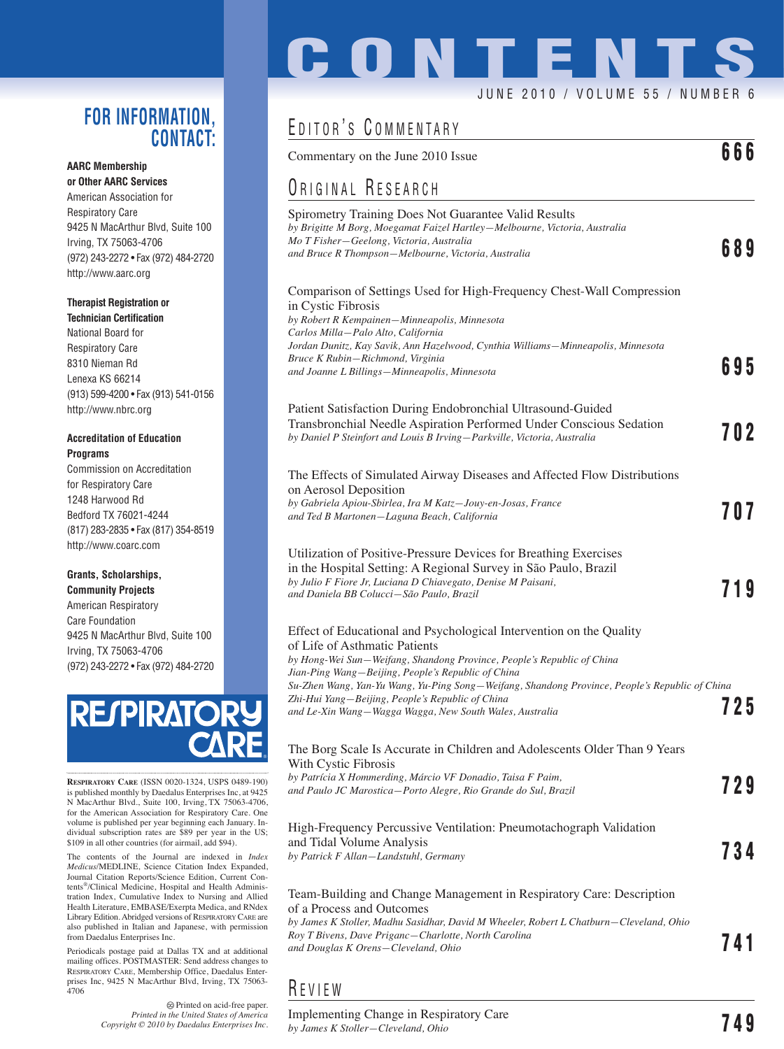### **FOR INFORMATION, CONTACT:**

#### **AARC Membership or Other AARC Services**

American Association for Respiratory Care 9425 N MacArthur Blvd, Suite 100 Irving, TX 75063-4706 (972) 243-2272 • Fax (972) 484-2720 http://www.aarc.org

#### **Therapist Registration or**

**Technician Certification** National Board for Respiratory Care 8310 Nieman Rd Lenexa KS 66214 (913) 599-4200 • Fax (913) 541-0156 http://www.nbrc.org

#### **Accreditation of Education Programs**

Commission on Accreditation for Respiratory Care 1248 Harwood Rd Bedford TX 76021-4244 (817) 283-2835 • Fax (817) 354-8519 http://www.coarc.com

#### **Grants, Scholarships, Community Projects**

American Respiratory Care Foundation 9425 N MacArthur Blvd, Suite 100 Irving, TX 75063-4706 (972) 243-2272 • Fax (972) 484-2720



**RESPIRATORY CARE** (ISSN 0020-1324, USPS 0489-190) is published monthly by Daedalus Enterprises Inc, at 9425 N MacArthur Blvd., Suite 100, Irving, TX 75063-4706, for the American Association for Respiratory Care. One volume is published per year beginning each January. In-dividual subscription rates are \$89 per year in the US; \$109 in all other countries (for airmail, add \$94).

The contents of the Journal are indexed in *Index Medicus*/MEDLINE, Science Citation Index Expanded, Journal Citation Reports/Science Edition, Current Contents®/Clinical Medicine, Hospital and Health Administration Index, Cumulative Index to Nursing and Allied Health Literature, EMBASE/Exerpta Medica, and RNdex Library Edition. Abridged versions of RESPIRATORY CARE are also published in Italian and Japanese, with permission from Daedalus Enterprises Inc.

Periodicals postage paid at Dallas TX and at additional mailing offices. POSTMASTER: Send address changes to RESPIRATORY CARE, Membership Office, Daedalus Enterprises Inc, 9425 N MacArthur Blvd, Irving, TX 75063- 4706

> Printed on acid-free paper. *Printed in the United States of America Copyright © 2010 by Daedalus Enterprises Inc.*

# **CONTENTS**

#### JUNE 2010 / VOLUME 55 / NUMBER 6

 $\overline{\bullet}$ 

## EDITOR'S COMMENTARY

| Commentary on the June 2010 Issue                                                                                                                                                                                                                                                                                                                                                                                                                     | 000 |
|-------------------------------------------------------------------------------------------------------------------------------------------------------------------------------------------------------------------------------------------------------------------------------------------------------------------------------------------------------------------------------------------------------------------------------------------------------|-----|
| ORIGINAL RESEARCH                                                                                                                                                                                                                                                                                                                                                                                                                                     |     |
| Spirometry Training Does Not Guarantee Valid Results<br>by Brigitte M Borg, Moegamat Faizel Hartley-Melbourne, Victoria, Australia<br>Mo T Fisher-Geelong, Victoria, Australia<br>and Bruce R Thompson—Melbourne, Victoria, Australia                                                                                                                                                                                                                 | 689 |
| Comparison of Settings Used for High-Frequency Chest-Wall Compression<br>in Cystic Fibrosis<br>by Robert R Kempainen-Minneapolis, Minnesota<br>Carlos Milla-Palo Alto, California                                                                                                                                                                                                                                                                     |     |
| Jordan Dunitz, Kay Savik, Ann Hazelwood, Cynthia Williams—Minneapolis, Minnesota<br>Bruce K Rubin–Richmond, Virginia<br>and Joanne L Billings—Minneapolis, Minnesota                                                                                                                                                                                                                                                                                  | 695 |
| Patient Satisfaction During Endobronchial Ultrasound-Guided<br>Transbronchial Needle Aspiration Performed Under Conscious Sedation<br>by Daniel P Steinfort and Louis B Irving-Parkville, Victoria, Australia                                                                                                                                                                                                                                         | 702 |
| The Effects of Simulated Airway Diseases and Affected Flow Distributions<br>on Aerosol Deposition<br>by Gabriela Apiou-Sbirlea, Ira M Katz-Jouy-en-Josas, France<br>and Ted B Martonen-Laguna Beach, California                                                                                                                                                                                                                                       | 707 |
| Utilization of Positive-Pressure Devices for Breathing Exercises<br>in the Hospital Setting: A Regional Survey in São Paulo, Brazil<br>by Julio F Fiore Jr, Luciana D Chiavegato, Denise M Paisani,<br>and Daniela BB Colucci–São Paulo, Brazil                                                                                                                                                                                                       | 719 |
| Effect of Educational and Psychological Intervention on the Quality<br>of Life of Asthmatic Patients<br>by Hong-Wei Sun-Weifang, Shandong Province, People's Republic of China<br>Jian-Ping Wang–Beijing, People's Republic of China<br>Su-Zhen Wang, Yan-Yu Wang, Yu-Ping Song-Weifang, Shandong Province, People's Republic of China<br>Zhi-Hui Yang—Beijing, People's Republic of China<br>and Le-Xin Wang–Wagga Wagga, New South Wales, Australia | 725 |
| The Borg Scale Is Accurate in Children and Adolescents Older Than 9 Years<br>With Cystic Fibrosis<br>by Patrícia X Hommerding, Márcio VF Donadio, Taisa F Paim,<br>and Paulo JC Marostica–Porto Alegre, Rio Grande do Sul, Brazil                                                                                                                                                                                                                     | 729 |
| High-Frequency Percussive Ventilation: Pneumotachograph Validation<br>and Tidal Volume Analysis<br>by Patrick F Allan-Landstuhl, Germany                                                                                                                                                                                                                                                                                                              | 734 |
| Team-Building and Change Management in Respiratory Care: Description<br>of a Process and Outcomes<br>by James K Stoller, Madhu Sasidhar, David M Wheeler, Robert L Chatburn—Cleveland, Ohio<br>Roy T Bivens, Dave Priganc—Charlotte, North Carolina<br>and Douglas K Orens–Cleveland, Ohio                                                                                                                                                            | 741 |

## R EVIEW

Implementing Change in Respiratory Care *by James K Stoller—Cleveland, Ohio* **749**